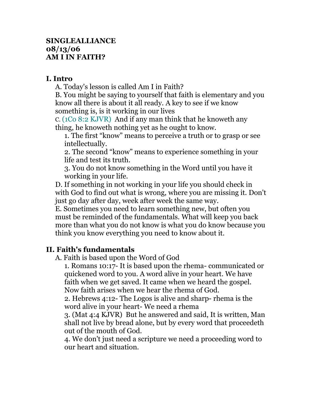## **SINGLEALLIANCE 08/13/06 AM I IN FAITH?**

## **I. Intro**

A. Today's lesson is called Am I in Faith?

B. You might be saying to yourself that faith is elementary and you know all there is about it all ready. A key to see if we know something is, is it working in our lives

C. (1Co 8:2 KJVR) And if any man think that he knoweth any thing, he knoweth nothing yet as he ought to know.

1. The first "know" means to perceive a truth or to grasp or see intellectually.

2. The second "know" means to experience something in your life and test its truth.

3. You do not know something in the Word until you have it working in your life.

D. If something in not working in your life you should check in with God to find out what is wrong, where you are missing it. Don't just go day after day, week after week the same way.

E. Sometimes you need to learn something new, but often you must be reminded of the fundamentals. What will keep you back more than what you do not know is what you do know because you think you know everything you need to know about it.

## **II. Faith's fundamentals**

A. Faith is based upon the Word of God

1. Romans 10:17- It is based upon the rhema- communicated or quickened word to you. A word alive in your heart. We have faith when we get saved. It came when we heard the gospel. Now faith arises when we hear the rhema of God.

2. Hebrews 4:12- The Logos is alive and sharp- rhema is the word alive in your heart- We need a rhema

3. (Mat 4:4 KJVR) But he answered and said, It is written, Man shall not live by bread alone, but by every word that proceedeth out of the mouth of God.

4. We don't just need a scripture we need a proceeding word to our heart and situation.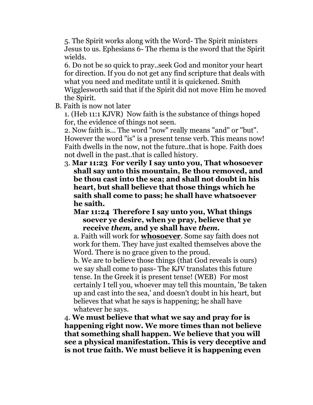5. The Spirit works along with the Word- The Spirit ministers Jesus to us. Ephesians 6- The rhema is the sword that the Spirit wields.

6. Do not be so quick to pray..seek God and monitor your heart for direction. If you do not get any find scripture that deals with what you need and meditate until it is quickened. Smith Wigglesworth said that if the Spirit did not move Him he moved the Spirit.

B. Faith is now not later

1. (Heb 11:1 KJVR) Now faith is the substance of things hoped for, the evidence of things not seen.

2. Now faith is... The word "now" really means "and" or "but". However the word "is" is a present tense verb. This means now! Faith dwells in the now, not the future..that is hope. Faith does not dwell in the past..that is called history.

3. **Mar 11:23 For verily I say unto you, That whosoever shall say unto this mountain, Be thou removed, and be thou cast into the sea; and shall not doubt in his heart, but shall believe that those things which he saith shall come to pass; he shall have whatsoever he saith.** 

**Mar 11:24 Therefore I say unto you, What things soever ye desire, when ye pray, believe that ye receive** *them,* **and ye shall have** *them.*

a. Faith will work for **whosoever**. Some say faith does not work for them. They have just exalted themselves above the Word. There is no grace given to the proud.

b. We are to believe those things (that God reveals is ours) we say shall come to pass- The KJV translates this future tense. In the Greek it is present tense! (WEB) For most certainly I tell you, whoever may tell this mountain, 'Be taken up and cast into the sea,' and doesn't doubt in his heart, but believes that what he says is happening; he shall have whatever he says.

4. **We must believe that what we say and pray for is happening right now. We more times than not believe that something shall happen. We believe that you will see a physical manifestation. This is very deceptive and is not true faith. We must believe it is happening even**